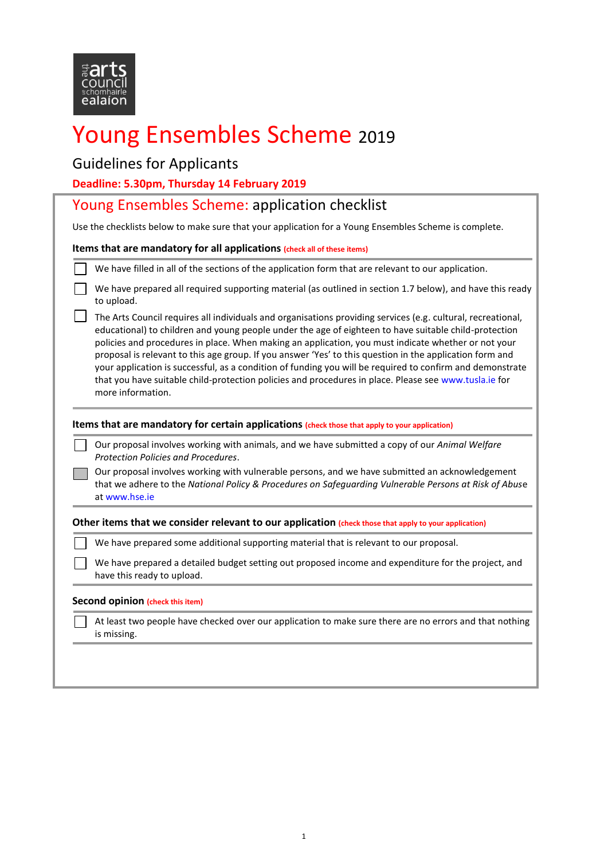

# Young Ensembles Scheme <sup>2019</sup>

## Guidelines for Applicants

**Deadline: 5.30pm, Thursday 14 February 2019**

| Deadline: 5.30pm, Thursday 14 February 2019                                                                                                                                                                                                                                                                                                                                                                                                                                                                                                                                                                                                                                         |  |  |  |
|-------------------------------------------------------------------------------------------------------------------------------------------------------------------------------------------------------------------------------------------------------------------------------------------------------------------------------------------------------------------------------------------------------------------------------------------------------------------------------------------------------------------------------------------------------------------------------------------------------------------------------------------------------------------------------------|--|--|--|
| Young Ensembles Scheme: application checklist                                                                                                                                                                                                                                                                                                                                                                                                                                                                                                                                                                                                                                       |  |  |  |
| Use the checklists below to make sure that your application for a Young Ensembles Scheme is complete.                                                                                                                                                                                                                                                                                                                                                                                                                                                                                                                                                                               |  |  |  |
| Items that are mandatory for all applications (check all of these items)                                                                                                                                                                                                                                                                                                                                                                                                                                                                                                                                                                                                            |  |  |  |
| We have filled in all of the sections of the application form that are relevant to our application.                                                                                                                                                                                                                                                                                                                                                                                                                                                                                                                                                                                 |  |  |  |
| We have prepared all required supporting material (as outlined in section 1.7 below), and have this ready<br>to upload.                                                                                                                                                                                                                                                                                                                                                                                                                                                                                                                                                             |  |  |  |
| The Arts Council requires all individuals and organisations providing services (e.g. cultural, recreational,<br>educational) to children and young people under the age of eighteen to have suitable child-protection<br>policies and procedures in place. When making an application, you must indicate whether or not your<br>proposal is relevant to this age group. If you answer 'Yes' to this question in the application form and<br>your application is successful, as a condition of funding you will be required to confirm and demonstrate<br>that you have suitable child-protection policies and procedures in place. Please see www.tusla.ie for<br>more information. |  |  |  |
| Items that are mandatory for certain applications (check those that apply to your application)                                                                                                                                                                                                                                                                                                                                                                                                                                                                                                                                                                                      |  |  |  |
| Our proposal involves working with animals, and we have submitted a copy of our Animal Welfare<br>Protection Policies and Procedures.<br>Our proposal involves working with vulnerable persons, and we have submitted an acknowledgement                                                                                                                                                                                                                                                                                                                                                                                                                                            |  |  |  |
| that we adhere to the National Policy & Procedures on Safeguarding Vulnerable Persons at Risk of Abuse<br>at www.hse.je                                                                                                                                                                                                                                                                                                                                                                                                                                                                                                                                                             |  |  |  |
| Other items that we consider relevant to our application (check those that apply to your application)                                                                                                                                                                                                                                                                                                                                                                                                                                                                                                                                                                               |  |  |  |
| We have prepared some additional supporting material that is relevant to our proposal.                                                                                                                                                                                                                                                                                                                                                                                                                                                                                                                                                                                              |  |  |  |
| We have prepared a detailed budget setting out proposed income and expenditure for the project, and<br>have this ready to upload.                                                                                                                                                                                                                                                                                                                                                                                                                                                                                                                                                   |  |  |  |
| <b>Second opinion (check this item)</b>                                                                                                                                                                                                                                                                                                                                                                                                                                                                                                                                                                                                                                             |  |  |  |
| At least two people have checked over our application to make sure there are no errors and that nothing<br>is missing.                                                                                                                                                                                                                                                                                                                                                                                                                                                                                                                                                              |  |  |  |
|                                                                                                                                                                                                                                                                                                                                                                                                                                                                                                                                                                                                                                                                                     |  |  |  |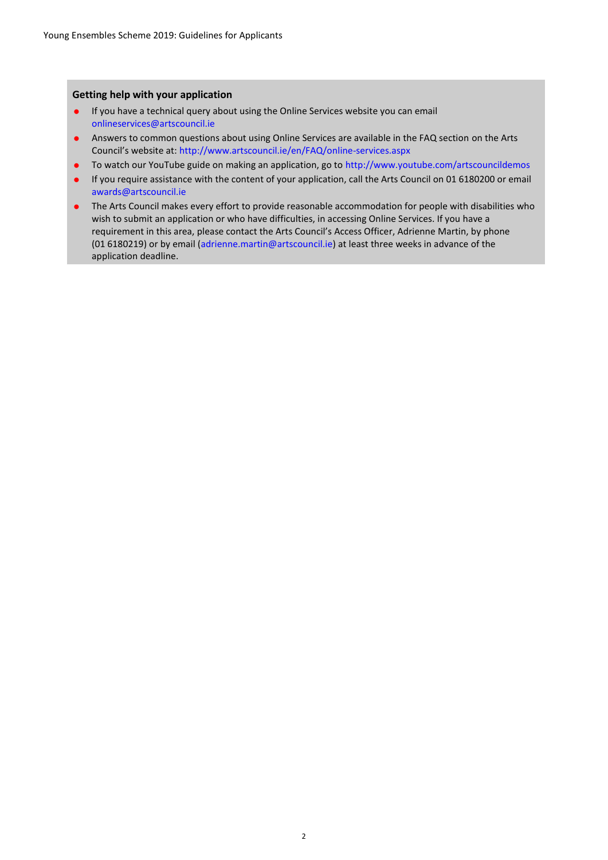#### **Getting help with your application**

- If you have a technical query about using the Online Services website you can email [onlineservices@artscouncil.ie](mailto:onlineservices@artscouncil.ie)
- Answers to common questions about using Online Services are available in the FAQ section on the Arts Council's website at[: http://www.artscouncil.ie/en/FAQ/online-services.aspx](http://www.artscouncil.ie/en/FAQ/online-services.aspx)
- To watch our YouTube guide on making an application, go to<http://www.youtube.com/artscouncildemos>
- If you require assistance with the content of your application, call the Arts Council on 01 6180200 or email [awards@artscouncil.ie](mailto:awards@artscouncil.ie)
- The Arts Council makes every effort to provide reasonable accommodation for people with disabilities who wish to submit an application or who have difficulties, in accessing Online Services. If you have a requirement in this area, please contact the Arts Council's Access Officer, Adrienne Martin, by phone (01 6180219) or by email [\(adrienne.martin@artscouncil.ie\)](mailto:adrienne.martin@artscouncil.ie) at least three weeks in advance of the application deadline.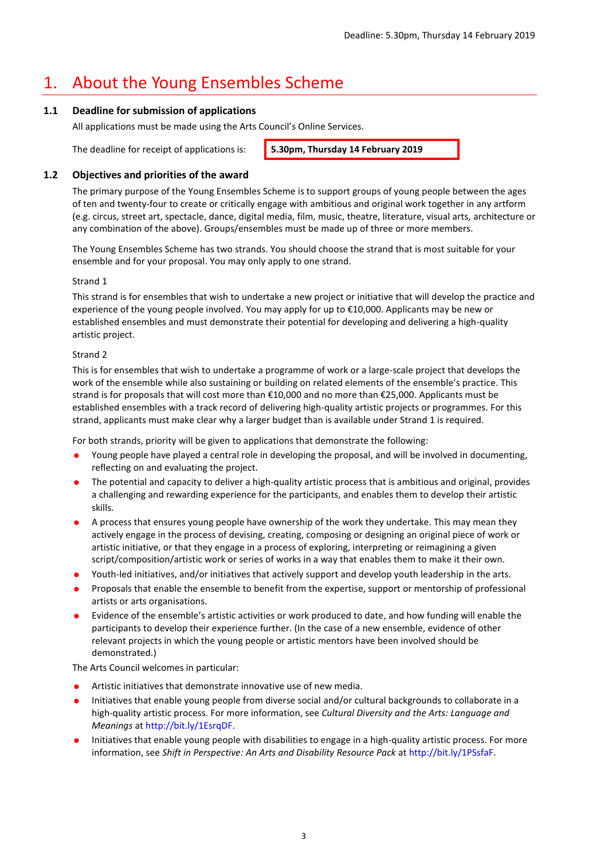## 1. About the Young Ensembles Scheme

#### **1.1 Deadline for submission of applications**

All applications must be made using the Arts Council's Online Services.

The deadline for receipt of applications is: **5.30pm, Thursday 14 February 2019**

#### **1.2 Objectives and priorities of the award**

The primary purpose of the Young Ensembles Scheme is to support groups of young people between the ages of ten and twenty-four to create or critically engage with ambitious and original work together in any artform (e.g. circus, street art, spectacle, dance, digital media, film, music, theatre, literature, visual arts, architecture or any combination of the above). Groups/ensembles must be made up of three or more members.

The Young Ensembles Scheme has two strands. You should choose the strand that is most suitable for your ensemble and for your proposal. You may only apply to one strand.

#### Strand 1

This strand is for ensembles that wish to undertake a new project or initiative that will develop the practice and experience of the young people involved. You may apply for up to €10,000. Applicants may be new or established ensembles and must demonstrate their potential for developing and delivering a high-quality artistic project.

#### Strand 2

This is for ensembles that wish to undertake a programme of work or a large-scale project that develops the work of the ensemble while also sustaining or building on related elements of the ensemble's practice. This strand is for proposals that will cost more than €10,000 and no more than €25,000. Applicants must be established ensembles with a track record of delivering high-quality artistic projects or programmes. For this strand, applicants must make clear why a larger budget than is available under Strand 1 is required.

For both strands, priority will be given to applications that demonstrate the following:

- Young people have played a central role in developing the proposal, and will be involved in documenting, reflecting on and evaluating the project.
- The potential and capacity to deliver a high-quality artistic process that is ambitious and original, provides a challenging and rewarding experience for the participants, and enables them to develop their artistic skills.
- A process that ensures young people have ownership of the work they undertake. This may mean they actively engage in the process of devising, creating, composing or designing an original piece of work or artistic initiative, or that they engage in a process of exploring, interpreting or reimagining a given script/composition/artistic work or series of works in a way that enables them to make it their own.
- Youth-led initiatives, and/or initiatives that actively support and develop youth leadership in the arts.
- Proposals that enable the ensemble to benefit from the expertise, support or mentorship of professional artists or arts organisations.
- Evidence of the ensemble's artistic activities or work produced to date, and how funding will enable the participants to develop their experience further. (In the case of a new ensemble, evidence of other relevant projects in which the young people or artistic mentors have been involved should be demonstrated.)

The Arts Council welcomes in particular:

- Artistic initiatives that demonstrate innovative use of new media.
- Initiatives that enable young people from diverse social and/or cultural backgrounds to collaborate in a high-quality artistic process. For more information, see *Cultural Diversity and the Arts: Language and Meanings* a[t http://bit.ly/1EsrqDF.](http://bit.ly/1EsrqDF)
- Initiatives that enable young people with disabilities to engage in a high-quality artistic process. For more information, see *Shift in Perspective: An Arts and Disability Resource Pack* at [http://bit.ly/1PSsfaF.](http://bit.ly/1PSsfaF)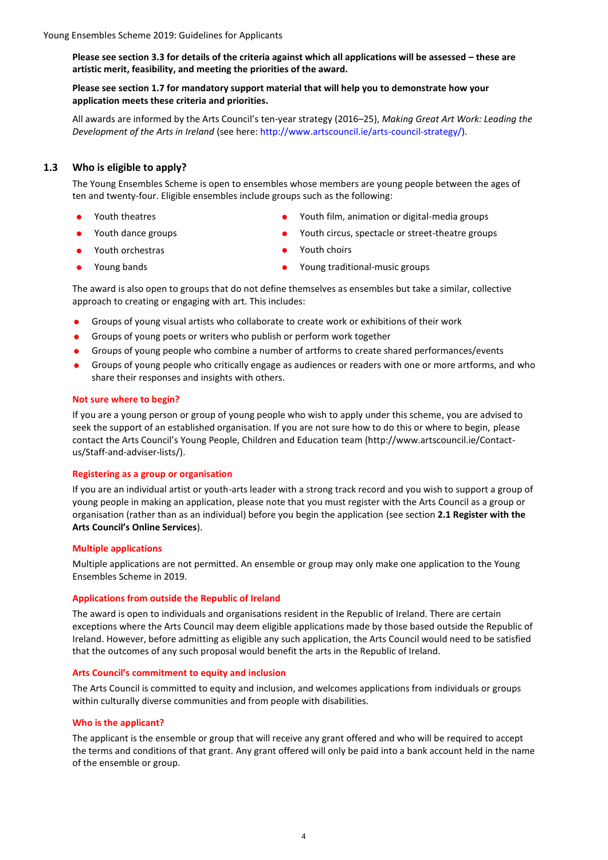**Please see section 3.3 for details of the criteria against which all applications will be assessed – these are artistic merit, feasibility, and meeting the priorities of the award.**

#### **Please see section 1.7 for mandatory support material that will help you to demonstrate how your application meets these criteria and priorities.**

All awards are informed by the Arts Council's ten-year strategy (2016–25), *Making Great Art Work: Leading the Development of the Arts in Ireland* (see here: [http://www.artscouncil.ie/arts-council-strategy/\)](http://www.artscouncil.ie/arts-council-strategy/).

#### **1.3 Who is eligible to apply?**

The Young Ensembles Scheme is open to ensembles whose members are young people between the ages of ten and twenty-four. Eligible ensembles include groups such as the following:

- 
- 
- Youth orchestras Youth choirs
- 
- Youth theatres Youth film, animation or digital-media groups
- Youth dance groups Youth circus, spectacle or street-theatre groups
	-
- Young bands **Constanting the Constanting Constanting Constanting Constanting Constanting Constanting Constanting Constanting Constanting Constanting Constanting Constanting Constanting Constanting Constanting Constanting**

The award is also open to groups that do not define themselves as ensembles but take a similar, collective approach to creating or engaging with art. This includes:

- Groups of young visual artists who collaborate to create work or exhibitions of their work
- Groups of young poets or writers who publish or perform work together
- Groups of young people who combine a number of artforms to create shared performances/events
- Groups of young people who critically engage as audiences or readers with one or more artforms, and who share their responses and insights with others.

#### **Not sure where to begin?**

If you are a young person or group of young people who wish to apply under this scheme, you are advised to seek the support of an established organisation. If you are not sure how to do this or where to begin, please contact the Arts Council's Young People, Children and Education team (http://www.artscouncil.ie/Contactus/Staff-and-adviser-lists/).

#### **Registering as a group or organisation**

If you are an individual artist or youth-arts leader with a strong track record and you wish to support a group of young people in making an application, please note that you must register with the Arts Council as a group or organisation (rather than as an individual) before you begin the application (see section **2.1 Register with the Arts Council's Online Services**).

#### **Multiple applications**

Multiple applications are not permitted. An ensemble or group may only make one application to the Young Ensembles Scheme in 2019.

#### **Applications from outside the Republic of Ireland**

The award is open to individuals and organisations resident in the Republic of Ireland. There are certain exceptions where the Arts Council may deem eligible applications made by those based outside the Republic of Ireland. However, before admitting as eligible any such application, the Arts Council would need to be satisfied that the outcomes of any such proposal would benefit the arts in the Republic of Ireland.

#### **Arts Council's commitment to equity and inclusion**

The Arts Council is committed to equity and inclusion, and welcomes applications from individuals or groups within culturally diverse communities and from people with disabilities.

#### **Who is the applicant?**

The applicant is the ensemble or group that will receive any grant offered and who will be required to accept the terms and conditions of that grant. Any grant offered will only be paid into a bank account held in the name of the ensemble or group.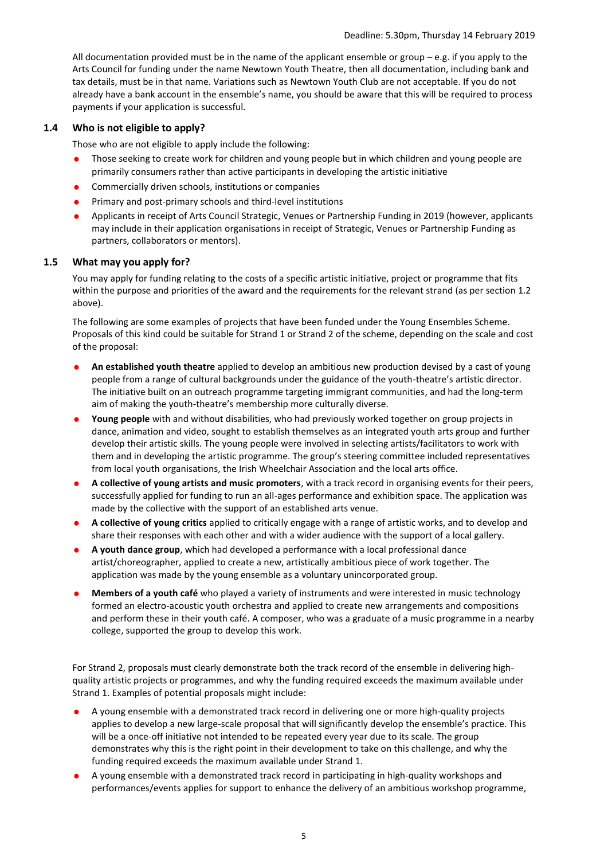All documentation provided must be in the name of the applicant ensemble or group – e.g. if you apply to the Arts Council for funding under the name Newtown Youth Theatre, then all documentation, including bank and tax details, must be in that name. Variations such as Newtown Youth Club are not acceptable. If you do not already have a bank account in the ensemble's name, you should be aware that this will be required to process payments if your application is successful.

#### **1.4 Who is not eligible to apply?**

Those who are not eligible to apply include the following:

- Those seeking to create work for children and young people but in which children and young people are primarily consumers rather than active participants in developing the artistic initiative
- **•** Commercially driven schools, institutions or companies
- **•** Primary and post-primary schools and third-level institutions
- Applicants in receipt of Arts Council Strategic, Venues or Partnership Funding in 2019 (however, applicants may include in their application organisations in receipt of Strategic, Venues or Partnership Funding as partners, collaborators or mentors).

#### **1.5 What may you apply for?**

You may apply for funding relating to the costs of a specific artistic initiative, project or programme that fits within the purpose and priorities of the award and the requirements for the relevant strand (as per section 1.2 above).

The following are some examples of projects that have been funded under the Young Ensembles Scheme. Proposals of this kind could be suitable for Strand 1 or Strand 2 of the scheme, depending on the scale and cost of the proposal:

- **An established youth theatre** applied to develop an ambitious new production devised by a cast of young people from a range of cultural backgrounds under the guidance of the youth-theatre's artistic director. The initiative built on an outreach programme targeting immigrant communities, and had the long-term aim of making the youth-theatre's membership more culturally diverse.
- **Young people** with and without disabilities, who had previously worked together on group projects in dance, animation and video, sought to establish themselves as an integrated youth arts group and further develop their artistic skills. The young people were involved in selecting artists/facilitators to work with them and in developing the artistic programme. The group's steering committee included representatives from local youth organisations, the Irish Wheelchair Association and the local arts office.
- **A collective of young artists and music promoters**, with a track record in organising events for their peers, successfully applied for funding to run an all-ages performance and exhibition space. The application was made by the collective with the support of an established arts venue.
- **A collective of young critics** applied to critically engage with a range of artistic works, and to develop and share their responses with each other and with a wider audience with the support of a local gallery.
- **A youth dance group**, which had developed a performance with a local professional dance artist/choreographer, applied to create a new, artistically ambitious piece of work together. The application was made by the young ensemble as a voluntary unincorporated group.
- **Members of a youth café** who played a variety of instruments and were interested in music technology formed an electro-acoustic youth orchestra and applied to create new arrangements and compositions and perform these in their youth café. A composer, who was a graduate of a music programme in a nearby college, supported the group to develop this work.

For Strand 2, proposals must clearly demonstrate both the track record of the ensemble in delivering highquality artistic projects or programmes, and why the funding required exceeds the maximum available under Strand 1. Examples of potential proposals might include:

- A young ensemble with a demonstrated track record in delivering one or more high-quality projects applies to develop a new large-scale proposal that will significantly develop the ensemble's practice. This will be a once-off initiative not intended to be repeated every year due to its scale. The group demonstrates why this is the right point in their development to take on this challenge, and why the funding required exceeds the maximum available under Strand 1.
- A young ensemble with a demonstrated track record in participating in high-quality workshops and performances/events applies for support to enhance the delivery of an ambitious workshop programme,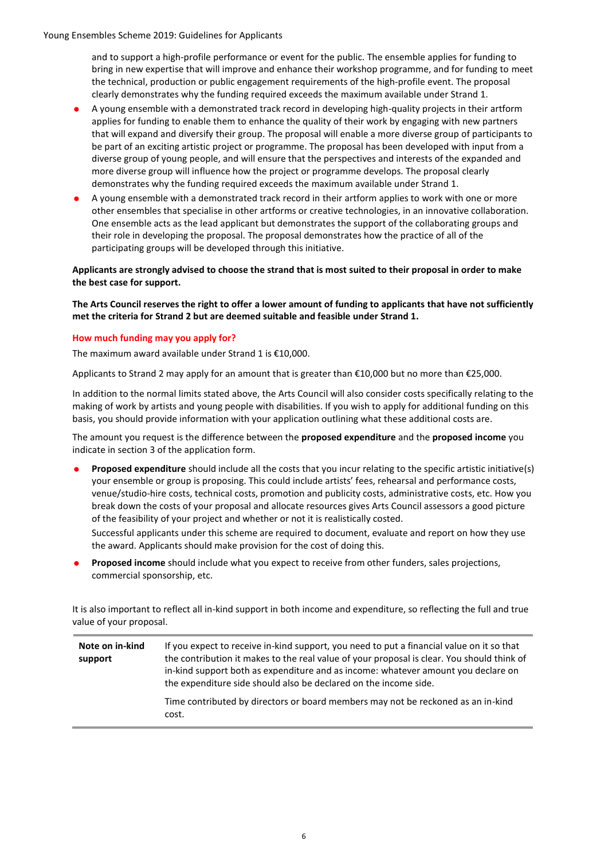and to support a high-profile performance or event for the public. The ensemble applies for funding to bring in new expertise that will improve and enhance their workshop programme, and for funding to meet the technical, production or public engagement requirements of the high-profile event. The proposal clearly demonstrates why the funding required exceeds the maximum available under Strand 1.

- A young ensemble with a demonstrated track record in developing high-quality projects in their artform applies for funding to enable them to enhance the quality of their work by engaging with new partners that will expand and diversify their group. The proposal will enable a more diverse group of participants to be part of an exciting artistic project or programme. The proposal has been developed with input from a diverse group of young people, and will ensure that the perspectives and interests of the expanded and more diverse group will influence how the project or programme develops. The proposal clearly demonstrates why the funding required exceeds the maximum available under Strand 1.
- A young ensemble with a demonstrated track record in their artform applies to work with one or more other ensembles that specialise in other artforms or creative technologies, in an innovative collaboration. One ensemble acts as the lead applicant but demonstrates the support of the collaborating groups and their role in developing the proposal. The proposal demonstrates how the practice of all of the participating groups will be developed through this initiative.

**Applicants are strongly advised to choose the strand that is most suited to their proposal in order to make the best case for support.** 

**The Arts Council reserves the right to offer a lower amount of funding to applicants that have not sufficiently met the criteria for Strand 2 but are deemed suitable and feasible under Strand 1.**

#### **How much funding may you apply for?**

The maximum award available under Strand 1 is €10,000.

Applicants to Strand 2 may apply for an amount that is greater than €10,000 but no more than €25,000.

In addition to the normal limits stated above, the Arts Council will also consider costs specifically relating to the making of work by artists and young people with disabilities. If you wish to apply for additional funding on this basis, you should provide information with your application outlining what these additional costs are.

The amount you request is the difference between the **proposed expenditure** and the **proposed income** you indicate in section 3 of the application form.

 **Proposed expenditure** should include all the costs that you incur relating to the specific artistic initiative(s) your ensemble or group is proposing. This could include artists' fees, rehearsal and performance costs, venue/studio-hire costs, technical costs, promotion and publicity costs, administrative costs, etc. How you break down the costs of your proposal and allocate resources gives Arts Council assessors a good picture of the feasibility of your project and whether or not it is realistically costed.

Successful applicants under this scheme are required to document, evaluate and report on how they use the award. Applicants should make provision for the cost of doing this.

 **Proposed income** should include what you expect to receive from other funders, sales projections, commercial sponsorship, etc.

It is also important to reflect all in-kind support in both income and expenditure, so reflecting the full and true value of your proposal.

| Note on in-kind<br>support | If you expect to receive in-kind support, you need to put a financial value on it so that<br>the contribution it makes to the real value of your proposal is clear. You should think of<br>in-kind support both as expenditure and as income: whatever amount you declare on<br>the expenditure side should also be declared on the income side. |
|----------------------------|--------------------------------------------------------------------------------------------------------------------------------------------------------------------------------------------------------------------------------------------------------------------------------------------------------------------------------------------------|
|                            | Time contributed by directors or board members may not be reckoned as an in-kind<br>cost.                                                                                                                                                                                                                                                        |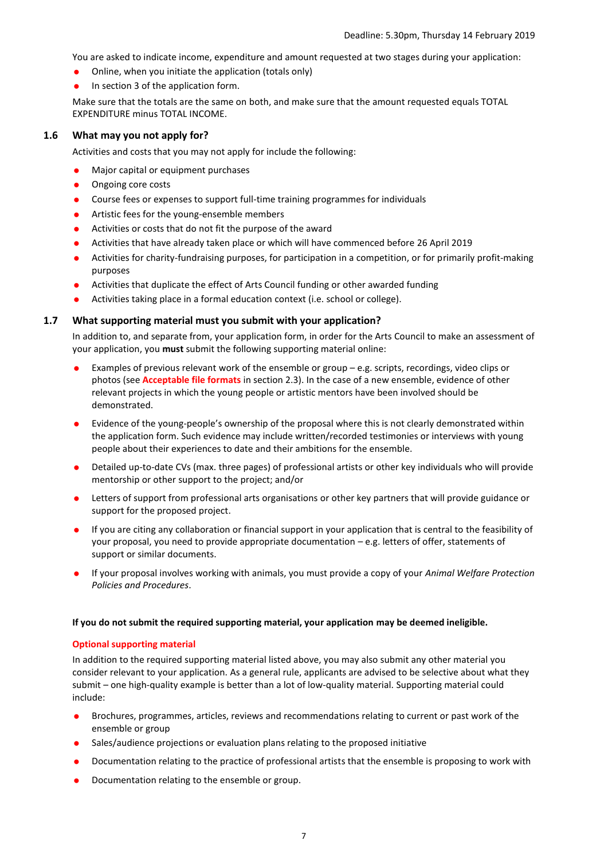You are asked to indicate income, expenditure and amount requested at two stages during your application:

- Online, when you initiate the application (totals only)
- In section 3 of the application form.

Make sure that the totals are the same on both, and make sure that the amount requested equals TOTAL EXPENDITURE minus TOTAL INCOME.

#### **1.6 What may you not apply for?**

Activities and costs that you may not apply for include the following:

- Major capital or equipment purchases
- Ongoing core costs
- Course fees or expenses to support full-time training programmes for individuals
- **•** Artistic fees for the young-ensemble members
- Activities or costs that do not fit the purpose of the award
- Activities that have already taken place or which will have commenced before 26 April 2019
- Activities for charity-fundraising purposes, for participation in a competition, or for primarily profit-making purposes
- Activities that duplicate the effect of Arts Council funding or other awarded funding
- Activities taking place in a formal education context (i.e. school or college).

#### **1.7 What supporting material must you submit with your application?**

In addition to, and separate from, your application form, in order for the Arts Council to make an assessment of your application, you **must** submit the following supporting material online:

- Examples of previous relevant work of the ensemble or group e.g. scripts, recordings, video clips or photos (see **Acceptable file formats** in section 2.3). In the case of a new ensemble, evidence of other relevant projects in which the young people or artistic mentors have been involved should be demonstrated.
- Evidence of the young-people's ownership of the proposal where this is not clearly demonstrated within the application form. Such evidence may include written/recorded testimonies or interviews with young people about their experiences to date and their ambitions for the ensemble.
- Detailed up-to-date CVs (max. three pages) of professional artists or other key individuals who will provide mentorship or other support to the project; and/or
- Letters of support from professional arts organisations or other key partners that will provide guidance or support for the proposed project.
- If you are citing any collaboration or financial support in your application that is central to the feasibility of your proposal, you need to provide appropriate documentation – e.g. letters of offer, statements of support or similar documents.
- If your proposal involves working with animals, you must provide a copy of your *Animal Welfare Protection Policies and Procedures*.

#### **If you do not submit the required supporting material, your application may be deemed ineligible.**

#### **Optional supporting material**

In addition to the required supporting material listed above, you may also submit any other material you consider relevant to your application. As a general rule, applicants are advised to be selective about what they submit – one high-quality example is better than a lot of low-quality material. Supporting material could include:

- Brochures, programmes, articles, reviews and recommendations relating to current or past work of the ensemble or group
- Sales/audience projections or evaluation plans relating to the proposed initiative
- Documentation relating to the practice of professional artists that the ensemble is proposing to work with
- Documentation relating to the ensemble or group.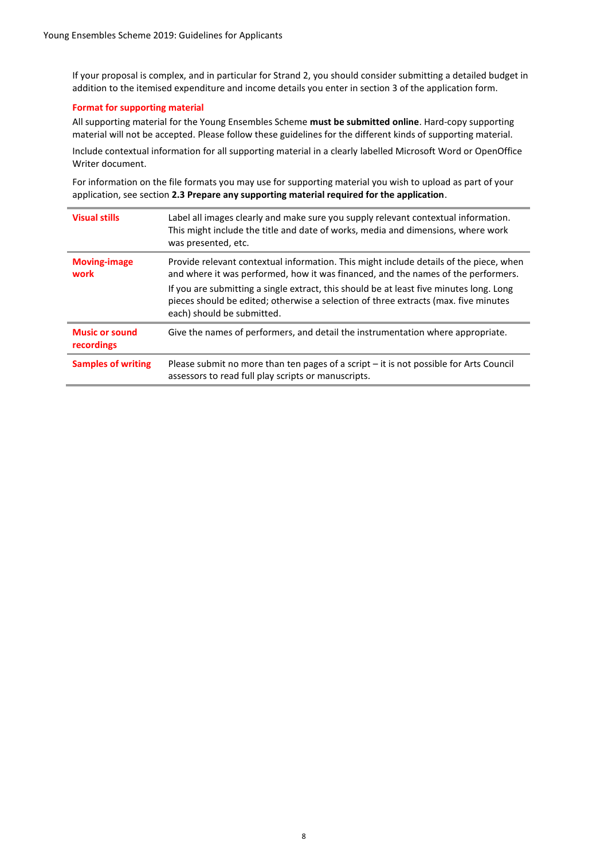If your proposal is complex, and in particular for Strand 2, you should consider submitting a detailed budget in addition to the itemised expenditure and income details you enter in section 3 of the application form.

#### **Format for supporting material**

All supporting material for the Young Ensembles Scheme **must be submitted online**. Hard-copy supporting material will not be accepted. Please follow these guidelines for the different kinds of supporting material.

Include contextual information for all supporting material in a clearly labelled Microsoft Word or OpenOffice Writer document.

For information on the file formats you may use for supporting material you wish to upload as part of your application, see section **2.3 Prepare any supporting material required for the application**.

| <b>Visual stills</b>                | Label all images clearly and make sure you supply relevant contextual information.<br>This might include the title and date of works, media and dimensions, where work<br>was presented, etc.                                                                                                                                                                                               |
|-------------------------------------|---------------------------------------------------------------------------------------------------------------------------------------------------------------------------------------------------------------------------------------------------------------------------------------------------------------------------------------------------------------------------------------------|
| <b>Moving-image</b><br>work         | Provide relevant contextual information. This might include details of the piece, when<br>and where it was performed, how it was financed, and the names of the performers.<br>If you are submitting a single extract, this should be at least five minutes long. Long<br>pieces should be edited; otherwise a selection of three extracts (max. five minutes<br>each) should be submitted. |
| <b>Music or sound</b><br>recordings | Give the names of performers, and detail the instrumentation where appropriate.                                                                                                                                                                                                                                                                                                             |
| <b>Samples of writing</b>           | Please submit no more than ten pages of a script - it is not possible for Arts Council<br>assessors to read full play scripts or manuscripts.                                                                                                                                                                                                                                               |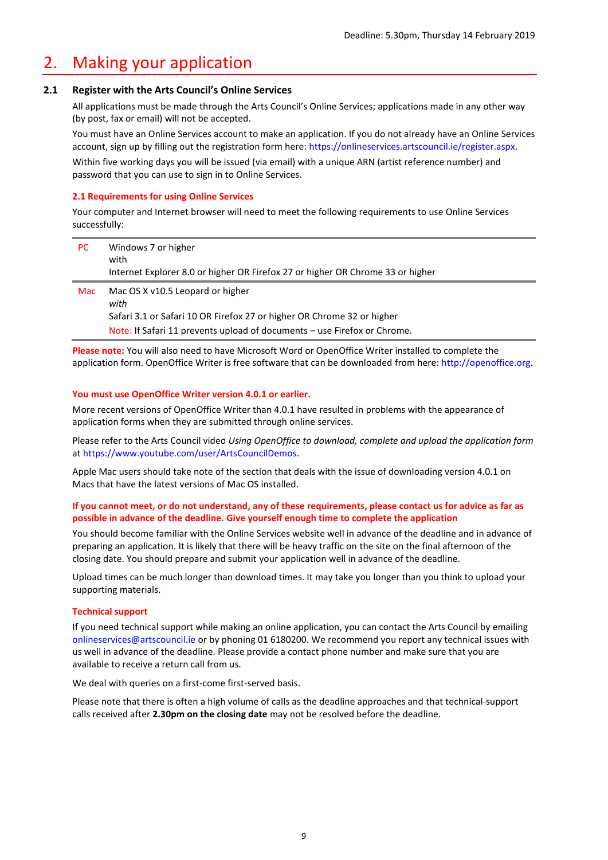### 2. Making your application

#### **2.1 Register with the Arts Council's Online Services**

All applications must be made through the Arts Council's Online Services; applications made in any other way (by post, fax or email) will not be accepted.

You must have an Online Services account to make an application. If you do not already have an Online Services account, sign up by filling out the registration form here: [https://onlineservices.artscouncil.ie/register.aspx.](https://onlineservices.artscouncil.ie/register.aspx)

Within five working days you will be issued (via email) with a unique ARN (artist reference number) and password that you can use to sign in to Online Services.

#### **2.1 Requirements for using Online Services**

Your computer and Internet browser will need to meet the following requirements to use Online Services successfully:

| PC. | Windows 7 or higher<br>with<br>Internet Explorer 8.0 or higher OR Firefox 27 or higher OR Chrome 33 or higher                                                                                  |
|-----|------------------------------------------------------------------------------------------------------------------------------------------------------------------------------------------------|
| Mac | Mac OS X v10.5 Leopard or higher<br>with<br>Safari 3.1 or Safari 10 OR Firefox 27 or higher OR Chrome 32 or higher<br>Note: If Safari 11 prevents upload of documents – use Firefox or Chrome. |

**Please note:** You will also need to have Microsoft Word or OpenOffice Writer installed to complete the application form. OpenOffice Writer is free software that can be downloaded from here[: http://openoffice.org.](http://www.openoffice.org/)

#### **You must use OpenOffice Writer version 4.0.1 or earlier.**

More recent versions of OpenOffice Writer than 4.0.1 have resulted in problems with the appearance of application forms when they are submitted through online services.

Please refer to the Arts Council video *Using OpenOffice to download, complete and upload the application form*  at [https://www.youtube.com/user/ArtsCouncilDemos.](https://www.youtube.com/user/ArtsCouncilDemos)

Apple Mac users should take note of the section that deals with the issue of downloading version 4.0.1 on Macs that have the latest versions of Mac OS installed.

#### **If you cannot meet, or do not understand, any of these requirements, please contact us for advice as far as possible in advance of the deadline. Give yourself enough time to complete the application**

You should become familiar with the Online Services website well in advance of the deadline and in advance of preparing an application. It is likely that there will be heavy traffic on the site on the final afternoon of the closing date. You should prepare and submit your application well in advance of the deadline.

Upload times can be much longer than download times. It may take you longer than you think to upload your supporting materials.

#### **Technical support**

If you need technical support while making an online application, you can contact the Arts Council by emailing [onlineservices@artscouncil.ie](mailto:onlineservices@artscouncil.ie) or by phoning 01 6180200. We recommend you report any technical issues with us well in advance of the deadline. Please provide a contact phone number and make sure that you are available to receive a return call from us.

We deal with queries on a first-come first-served basis.

Please note that there is often a high volume of calls as the deadline approaches and that technical-support calls received after **2.30pm on the closing date** may not be resolved before the deadline.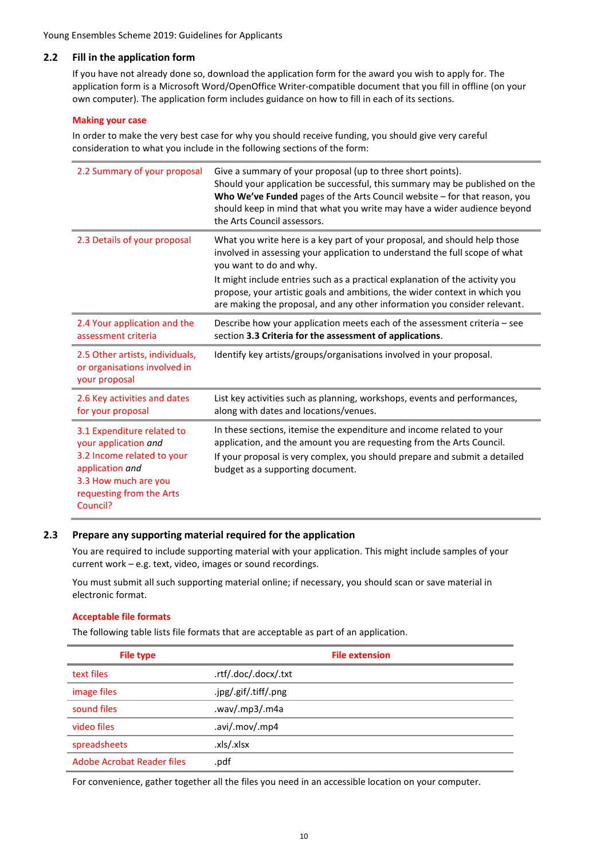#### **2.2 Fill in the application form**

If you have not already done so, download the application form for the award you wish to apply for. The application form is a Microsoft Word/OpenOffice Writer-compatible document that you fill in offline (on your own computer). The application form includes guidance on how to fill in each of its sections.

#### **Making your case**

In order to make the very best case for why you should receive funding, you should give very careful consideration to what you include in the following sections of the form:

| 2.2 Summary of your proposal                                                                                                                                        | Give a summary of your proposal (up to three short points).<br>Should your application be successful, this summary may be published on the<br>Who We've Funded pages of the Arts Council website - for that reason, you<br>should keep in mind that what you write may have a wider audience beyond<br>the Arts Council assessors.                                                                                             |
|---------------------------------------------------------------------------------------------------------------------------------------------------------------------|--------------------------------------------------------------------------------------------------------------------------------------------------------------------------------------------------------------------------------------------------------------------------------------------------------------------------------------------------------------------------------------------------------------------------------|
| 2.3 Details of your proposal                                                                                                                                        | What you write here is a key part of your proposal, and should help those<br>involved in assessing your application to understand the full scope of what<br>you want to do and why.<br>It might include entries such as a practical explanation of the activity you<br>propose, your artistic goals and ambitions, the wider context in which you<br>are making the proposal, and any other information you consider relevant. |
| 2.4 Your application and the<br>assessment criteria                                                                                                                 | Describe how your application meets each of the assessment criteria - see<br>section 3.3 Criteria for the assessment of applications.                                                                                                                                                                                                                                                                                          |
| 2.5 Other artists, individuals,<br>or organisations involved in<br>your proposal                                                                                    | Identify key artists/groups/organisations involved in your proposal.                                                                                                                                                                                                                                                                                                                                                           |
| 2.6 Key activities and dates<br>for your proposal                                                                                                                   | List key activities such as planning, workshops, events and performances,<br>along with dates and locations/venues.                                                                                                                                                                                                                                                                                                            |
| 3.1 Expenditure related to<br>your application and<br>3.2 Income related to your<br>application and<br>3.3 How much are you<br>requesting from the Arts<br>Council? | In these sections, itemise the expenditure and income related to your<br>application, and the amount you are requesting from the Arts Council.<br>If your proposal is very complex, you should prepare and submit a detailed<br>budget as a supporting document.                                                                                                                                                               |

#### **2.3 Prepare any supporting material required for the application**

You are required to include supporting material with your application. This might include samples of your current work – e.g. text, video, images or sound recordings.

You must submit all such supporting material online; if necessary, you should scan or save material in electronic format.

#### **Acceptable file formats**

The following table lists file formats that are acceptable as part of an application.

| <b>File type</b>           | <b>File extension</b> |
|----------------------------|-----------------------|
| text files                 | .rtf/.doc/.docx/.txt  |
| image files                | .jpg/.gif/.tiff/.png  |
| sound files                | .wav/.mp3/.m4a        |
| video files                | .avi/.mov/.mp4        |
| spreadsheets               | .xls/.xlsx            |
| Adobe Acrobat Reader files | .pdf                  |

For convenience, gather together all the files you need in an accessible location on your computer.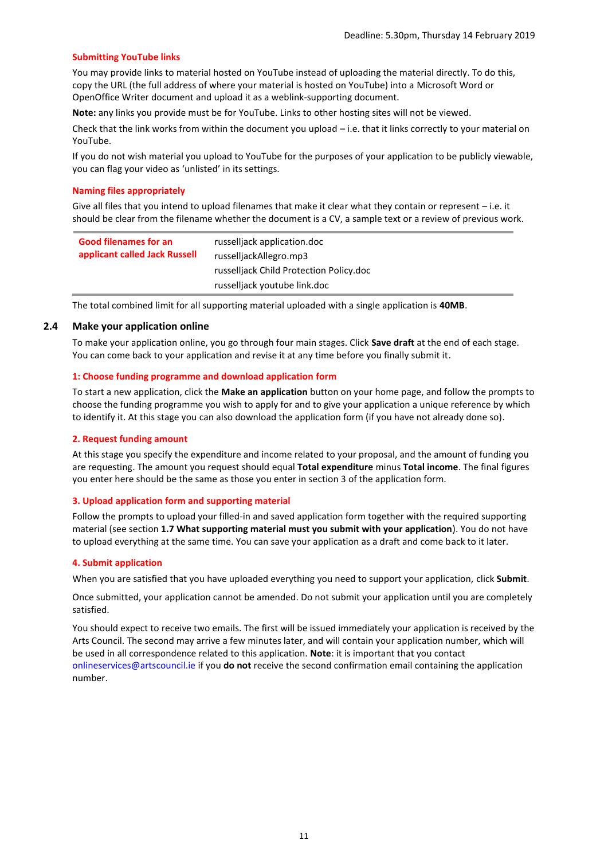#### **Submitting YouTube links**

You may provide links to material hosted on YouTube instead of uploading the material directly. To do this, copy the URL (the full address of where your material is hosted on YouTube) into a Microsoft Word or OpenOffice Writer document and upload it as a weblink-supporting document.

**Note:** any links you provide must be for YouTube. Links to other hosting sites will not be viewed.

Check that the link works from within the document you upload – i.e. that it links correctly to your material on YouTube.

If you do not wish material you upload to YouTube for the purposes of your application to be publicly viewable, you can flag your video as 'unlisted' in its settings.

#### **Naming files appropriately**

Give all files that you intend to upload filenames that make it clear what they contain or represent – i.e. it should be clear from the filename whether the document is a CV, a sample text or a review of previous work.

| <b>Good filenames for an</b><br>applicant called Jack Russell | russelljack application.doc<br>russelljackAllegro.mp3 |
|---------------------------------------------------------------|-------------------------------------------------------|
|                                                               | russelliack Child Protection Policy.doc               |
|                                                               | russelljack youtube link.doc                          |

The total combined limit for all supporting material uploaded with a single application is **40MB**.

#### **2.4 Make your application online**

To make your application online, you go through four main stages. Click **Save draft** at the end of each stage. You can come back to your application and revise it at any time before you finally submit it.

#### **1: Choose funding programme and download application form**

To start a new application, click the **Make an application** button on your home page, and follow the prompts to choose the funding programme you wish to apply for and to give your application a unique reference by which to identify it. At this stage you can also download the application form (if you have not already done so).

#### **2. Request funding amount**

At this stage you specify the expenditure and income related to your proposal, and the amount of funding you are requesting. The amount you request should equal **Total expenditure** minus **Total income**. The final figures you enter here should be the same as those you enter in section 3 of the application form.

#### **3. Upload application form and supporting material**

Follow the prompts to upload your filled-in and saved application form together with the required supporting material (see section **1.7 What supporting material must you submit with your application**). You do not have to upload everything at the same time. You can save your application as a draft and come back to it later.

#### **4. Submit application**

When you are satisfied that you have uploaded everything you need to support your application, click **Submit**.

Once submitted, your application cannot be amended. Do not submit your application until you are completely satisfied.

You should expect to receive two emails. The first will be issued immediately your application is received by the Arts Council. The second may arrive a few minutes later, and will contain your application number, which will be used in all correspondence related to this application. **Note**: it is important that you contact [onlineservices@artscouncil.ie](mailto:onlineservices@artscouncil.ie) if you **do not** receive the second confirmation email containing the application number.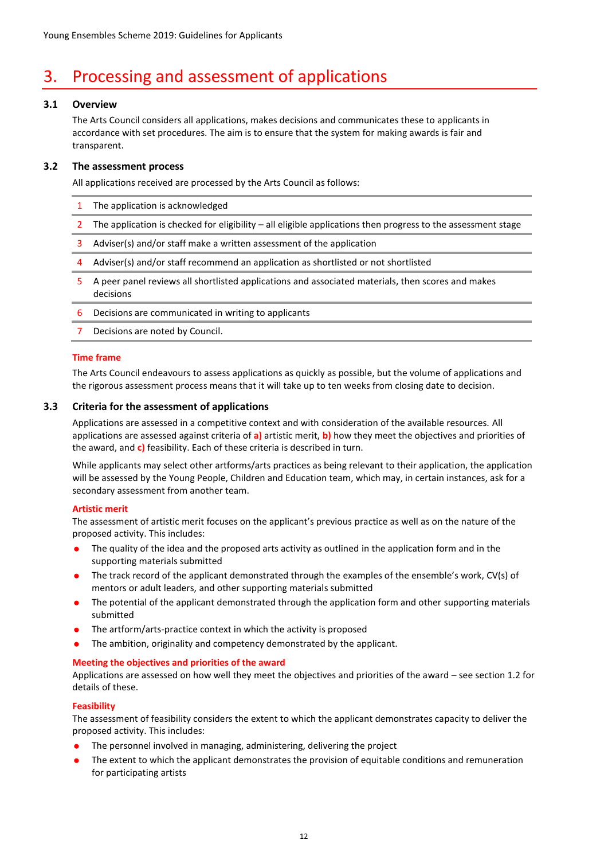## 3. Processing and assessment of applications

#### **3.1 Overview**

The Arts Council considers all applications, makes decisions and communicates these to applicants in accordance with set procedures. The aim is to ensure that the system for making awards is fair and transparent.

#### **3.2 The assessment process**

All applications received are processed by the Arts Council as follows:

- 1 The application is acknowledged
- 2 The application is checked for eligibility all eligible applications then progress to the assessment stage
- 3 Adviser(s) and/or staff make a written assessment of the application
- 4 Adviser(s) and/or staff recommend an application as shortlisted or not shortlisted
- 5 A peer panel reviews all shortlisted applications and associated materials, then scores and makes decisions
- 6 Decisions are communicated in writing to applicants
- 7 Decisions are noted by Council.

#### **Time frame**

The Arts Council endeavours to assess applications as quickly as possible, but the volume of applications and the rigorous assessment process means that it will take up to ten weeks from closing date to decision.

#### **3.3 Criteria for the assessment of applications**

Applications are assessed in a competitive context and with consideration of the available resources. All applications are assessed against criteria of **a)** artistic merit, **b)** how they meet the objectives and priorities of the award, and **c)** feasibility. Each of these criteria is described in turn.

While applicants may select other artforms/arts practices as being relevant to their application, the application will be assessed by the Young People, Children and Education team, which may, in certain instances, ask for a secondary assessment from another team.

#### **Artistic merit**

The assessment of artistic merit focuses on the applicant's previous practice as well as on the nature of the proposed activity. This includes:

- The quality of the idea and the proposed arts activity as outlined in the application form and in the supporting materials submitted
- The track record of the applicant demonstrated through the examples of the ensemble's work, CV(s) of mentors or adult leaders, and other supporting materials submitted
- The potential of the applicant demonstrated through the application form and other supporting materials submitted
- The artform/arts-practice context in which the activity is proposed
- The ambition, originality and competency demonstrated by the applicant.

#### **Meeting the objectives and priorities of the award**

Applications are assessed on how well they meet the objectives and priorities of the award – see section 1.2 for details of these.

#### **Feasibility**

The assessment of feasibility considers the extent to which the applicant demonstrates capacity to deliver the proposed activity. This includes:

- The personnel involved in managing, administering, delivering the project
- The extent to which the applicant demonstrates the provision of equitable conditions and remuneration for participating artists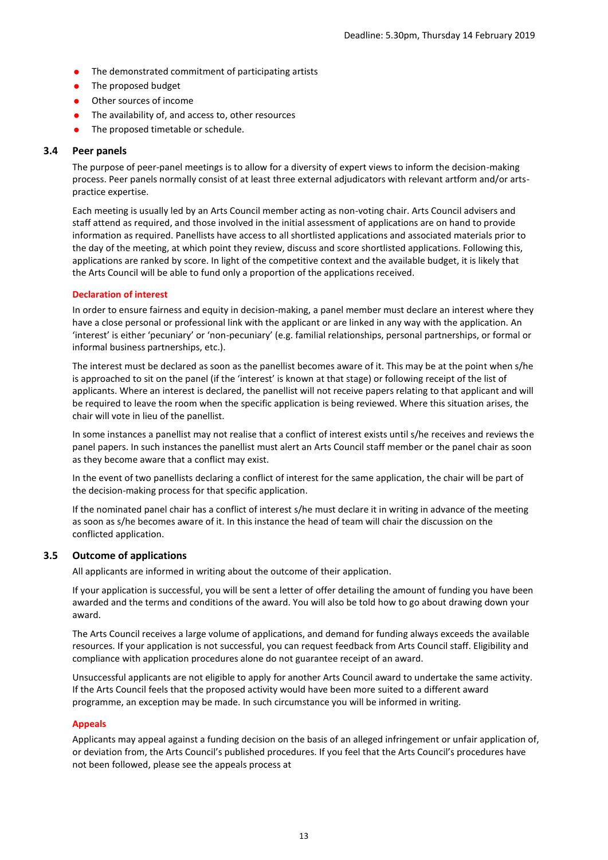- The demonstrated commitment of participating artists
- The proposed budget
- Other sources of income
- The availability of, and access to, other resources
- The proposed timetable or schedule.

#### **3.4 Peer panels**

The purpose of peer-panel meetings is to allow for a diversity of expert views to inform the decision-making process. Peer panels normally consist of at least three external adjudicators with relevant artform and/or artspractice expertise.

Each meeting is usually led by an Arts Council member acting as non-voting chair. Arts Council advisers and staff attend as required, and those involved in the initial assessment of applications are on hand to provide information as required. Panellists have access to all shortlisted applications and associated materials prior to the day of the meeting, at which point they review, discuss and score shortlisted applications. Following this, applications are ranked by score. In light of the competitive context and the available budget, it is likely that the Arts Council will be able to fund only a proportion of the applications received.

#### **Declaration of interest**

In order to ensure fairness and equity in decision-making, a panel member must declare an interest where they have a close personal or professional link with the applicant or are linked in any way with the application. An 'interest' is either 'pecuniary' or 'non-pecuniary' (e.g. familial relationships, personal partnerships, or formal or informal business partnerships, etc.).

The interest must be declared as soon as the panellist becomes aware of it. This may be at the point when s/he is approached to sit on the panel (if the 'interest' is known at that stage) or following receipt of the list of applicants. Where an interest is declared, the panellist will not receive papers relating to that applicant and will be required to leave the room when the specific application is being reviewed. Where this situation arises, the chair will vote in lieu of the panellist.

In some instances a panellist may not realise that a conflict of interest exists until s/he receives and reviews the panel papers. In such instances the panellist must alert an Arts Council staff member or the panel chair as soon as they become aware that a conflict may exist.

In the event of two panellists declaring a conflict of interest for the same application, the chair will be part of the decision-making process for that specific application.

If the nominated panel chair has a conflict of interest s/he must declare it in writing in advance of the meeting as soon as s/he becomes aware of it. In this instance the head of team will chair the discussion on the conflicted application.

#### **3.5 Outcome of applications**

All applicants are informed in writing about the outcome of their application.

If your application is successful, you will be sent a letter of offer detailing the amount of funding you have been awarded and the terms and conditions of the award. You will also be told how to go about drawing down your award.

The Arts Council receives a large volume of applications, and demand for funding always exceeds the available resources. If your application is not successful, you can request feedback from Arts Council staff. Eligibility and compliance with application procedures alone do not guarantee receipt of an award.

Unsuccessful applicants are not eligible to apply for another Arts Council award to undertake the same activity. If the Arts Council feels that the proposed activity would have been more suited to a different award programme, an exception may be made. In such circumstance you will be informed in writing.

#### **Appeals**

Applicants may appeal against a funding decision on the basis of an alleged infringement or unfair application of, or deviation from, the Arts Council's published procedures. If you feel that the Arts Council's procedures have not been followed, please see the appeals process at